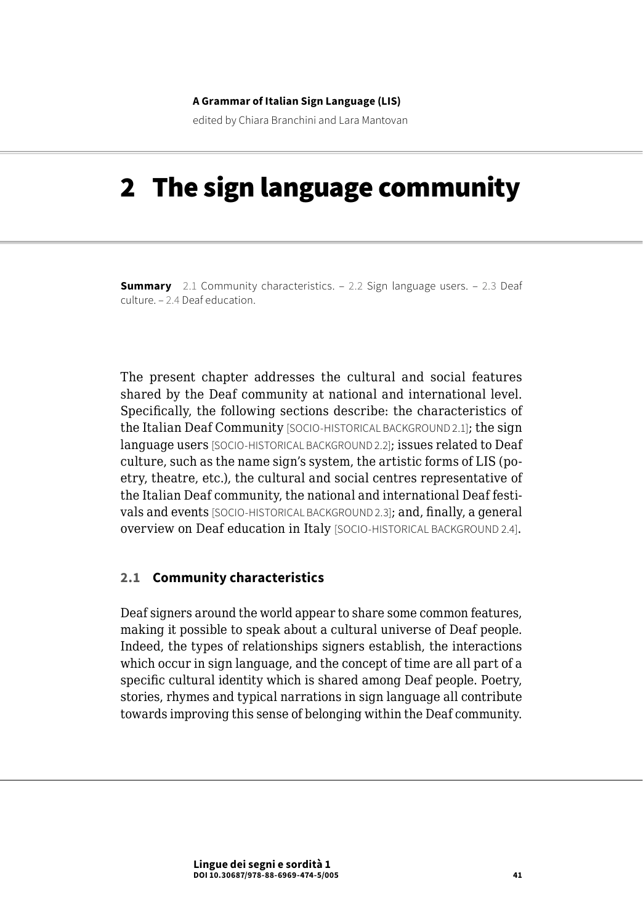### **A Grammar of Italian Sign Language (LIS)**

edited by Chiara Branchini and Lara Mantovan

# 2 The sign language community

**Summary** 2.1 Community characteristics. – [2.2 Sign language users.](#page-3-0) – 2.3 Deaf [culture](#page-6-0). – [2.4 Deaf education.](#page-18-0)

The present chapter addresses the cultural and social features shared by the Deaf community at national and international level. Specifically, the following sections describe: the characteristics of the Italian Deaf Community [SOCIO-HISTORICAL BACKGROUND 2.1]; the sign language users [SOCIO-HISTORICAL BACKGROUND 2.2]; issues related to Deaf culture, such as the name sign's system, the artistic forms of LIS (poetry, theatre, etc.), the cultural and social centres representative of the Italian Deaf community, the national and international Deaf festivals and events [SOCIO-HISTORICAL BACKGROUND 2.3]; and, finally, a general overview on Deaf education in Italy [SOCIO-HISTORICAL BACKGROUND 2.4].

### **2.1 Community characteristics**

Deaf signers around the world appear to share some common features, making it possible to speak about a cultural universe of Deaf people. Indeed, the types of relationships signers establish, the interactions which occur in sign language, and the concept of time are all part of a specific cultural identity which is shared among Deaf people. Poetry, stories, rhymes and typical narrations in sign language all contribute towards improving this sense of belonging within the Deaf community.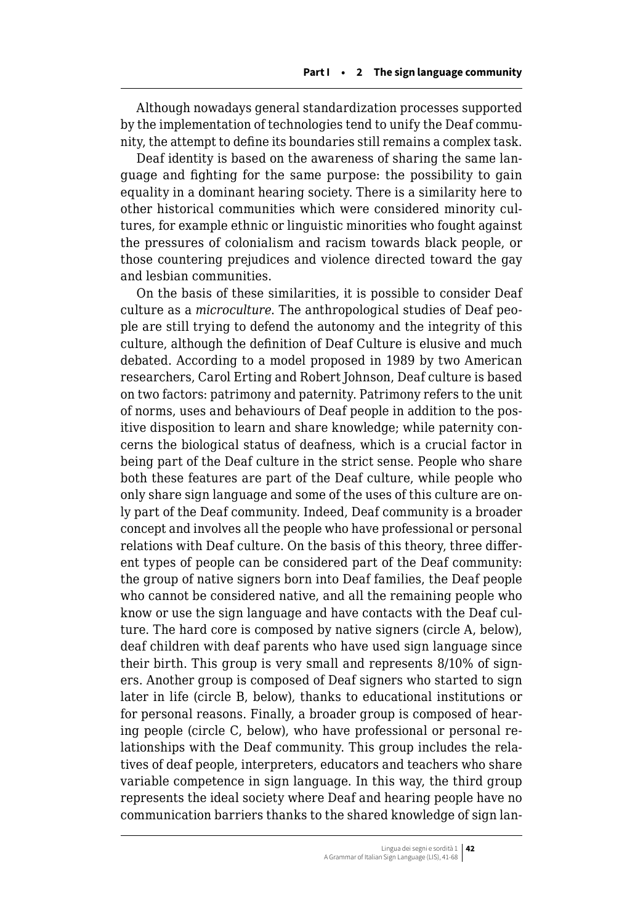Although nowadays general standardization processes supported by the implementation of technologies tend to unify the Deaf community, the attempt to define its boundaries still remains a complex task.

Deaf identity is based on the awareness of sharing the same language and fighting for the same purpose: the possibility to gain equality in a dominant hearing society. There is a similarity here to other historical communities which were considered minority cultures, for example ethnic or linguistic minorities who fought against the pressures of colonialism and racism towards black people, or those countering prejudices and violence directed toward the gay and lesbian communities.

On the basis of these similarities, it is possible to consider Deaf culture as a *microculture*. The anthropological studies of Deaf people are still trying to defend the autonomy and the integrity of this culture, although the definition of Deaf Culture is elusive and much debated. According to a model proposed in 1989 by two American researchers, Carol Erting and Robert Johnson, Deaf culture is based on two factors: patrimony and paternity. Patrimony refers to the unit of norms, uses and behaviours of Deaf people in addition to the positive disposition to learn and share knowledge; while paternity concerns the biological status of deafness, which is a crucial factor in being part of the Deaf culture in the strict sense. People who share both these features are part of the Deaf culture, while people who only share sign language and some of the uses of this culture are only part of the Deaf community. Indeed, Deaf community is a broader concept and involves all the people who have professional or personal relations with Deaf culture. On the basis of this theory, three different types of people can be considered part of the Deaf community: the group of native signers born into Deaf families, the Deaf people who cannot be considered native, and all the remaining people who know or use the sign language and have contacts with the Deaf culture. The hard core is composed by native signers (circle A, below), deaf children with deaf parents who have used sign language since their birth. This group is very small and represents 8/10% of signers. Another group is composed of Deaf signers who started to sign later in life (circle B, below), thanks to educational institutions or for personal reasons. Finally, a broader group is composed of hearing people (circle C, below), who have professional or personal relationships with the Deaf community. This group includes the relatives of deaf people, interpreters, educators and teachers who share variable competence in sign language. In this way, the third group represents the ideal society where Deaf and hearing people have no communication barriers thanks to the shared knowledge of sign lan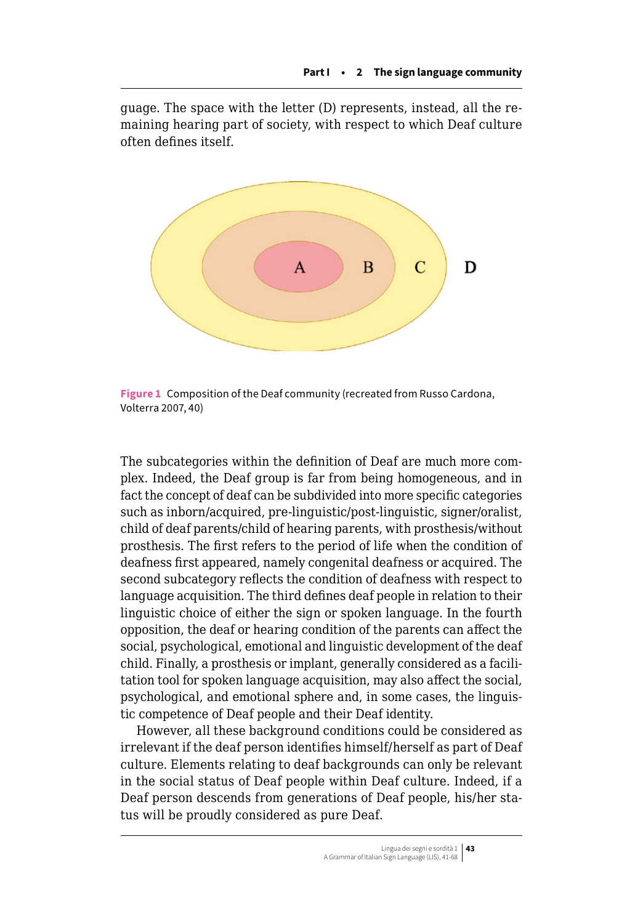guage. The space with the letter (D) represents, instead, all the remaining hearing part of society, with respect to which Deaf culture often defines itself.



**Figure 1** Composition of the Deaf community (recreated from Russo Cardona, Volterra 2007, 40)

The subcategories within the definition of Deaf are much more complex. Indeed, the Deaf group is far from being homogeneous, and in fact the concept of deaf can be subdivided into more specific categories such as inborn/acquired, pre-linguistic/post-linguistic, signer/oralist, child of deaf parents/child of hearing parents, with prosthesis/without prosthesis. The first refers to the period of life when the condition of deafness first appeared, namely congenital deafness or acquired. The second subcategory reflects the condition of deafness with respect to language acquisition. The third defines deaf people in relation to their linguistic choice of either the sign or spoken language. In the fourth opposition, the deaf or hearing condition of the parents can affect the social, psychological, emotional and linguistic development of the deaf child. Finally, a prosthesis or implant, generally considered as a facilitation tool for spoken language acquisition, may also affect the social, psychological, and emotional sphere and, in some cases, the linguistic competence of Deaf people and their Deaf identity.

However, all these background conditions could be considered as irrelevant if the deaf person identifies himself/herself as part of Deaf culture. Elements relating to deaf backgrounds can only be relevant in the social status of Deaf people within Deaf culture. Indeed, if a Deaf person descends from generations of Deaf people, his/her status will be proudly considered as pure Deaf.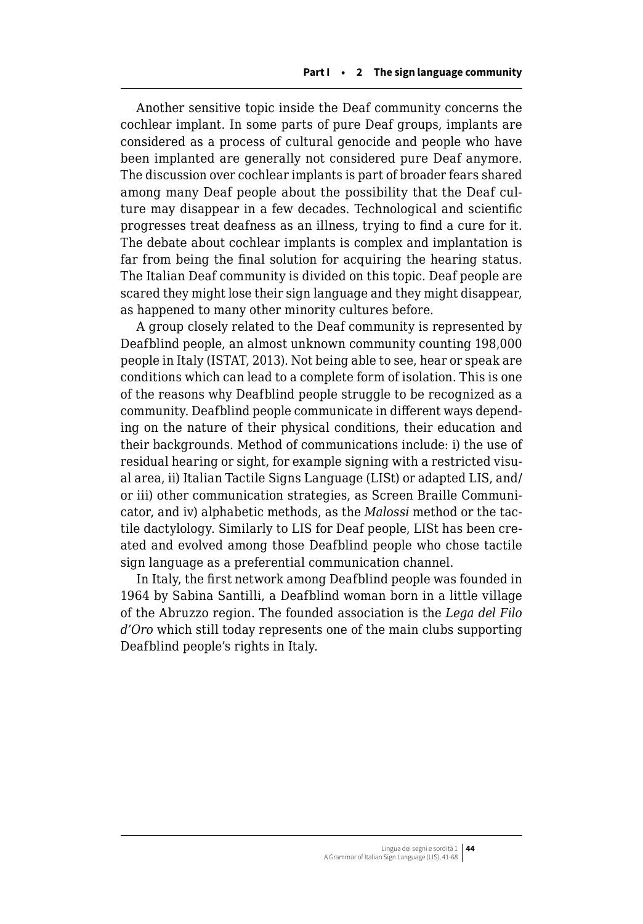<span id="page-3-0"></span>Another sensitive topic inside the Deaf community concerns the cochlear implant. In some parts of pure Deaf groups, implants are considered as a process of cultural genocide and people who have been implanted are generally not considered pure Deaf anymore. The discussion over cochlear implants is part of broader fears shared among many Deaf people about the possibility that the Deaf culture may disappear in a few decades. Technological and scientific progresses treat deafness as an illness, trying to find a cure for it. The debate about cochlear implants is complex and implantation is far from being the final solution for acquiring the hearing status. The Italian Deaf community is divided on this topic. Deaf people are scared they might lose their sign language and they might disappear, as happened to many other minority cultures before.

A group closely related to the Deaf community is represented by Deafblind people, an almost unknown community counting 198,000 people in Italy (ISTAT, 2013). Not being able to see, hear or speak are conditions which can lead to a complete form of isolation. This is one of the reasons why Deafblind people struggle to be recognized as a community. Deafblind people communicate in different ways depending on the nature of their physical conditions, their education and their backgrounds. Method of communications include: i) the use of residual hearing or sight, for example signing with a restricted visual area, ii) Italian Tactile Signs Language (LISt) or adapted LIS, and/ or iii) other communication strategies, as Screen Braille Communicator, and iv) alphabetic methods, as the *Malossi* method or the tactile dactylology. Similarly to LIS for Deaf people, LISt has been created and evolved among those Deafblind people who chose tactile sign language as a preferential communication channel.

In Italy, the first network among Deafblind people was founded in 1964 by Sabina Santilli, a Deafblind woman born in a little village of the Abruzzo region. The founded association is the *Lega del Filo d'Oro* which still today represents one of the main clubs supporting Deafblind people's rights in Italy.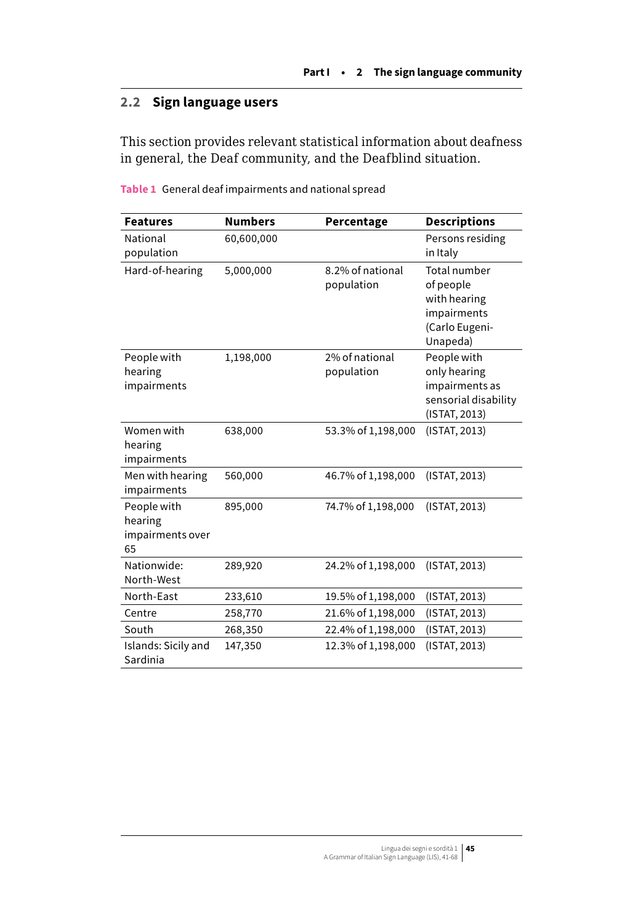# **2.2 Sign language users**

This section provides relevant statistical information about deafness in general, the Deaf community, and the Deafblind situation.

| <b>Features</b>                                  | <b>Numbers</b> | Percentage                     | <b>Descriptions</b>                                                                    |
|--------------------------------------------------|----------------|--------------------------------|----------------------------------------------------------------------------------------|
| National<br>population                           | 60,600,000     |                                | Persons residing<br>in Italy                                                           |
| Hard-of-hearing                                  | 5,000,000      | 8.2% of national<br>population | Total number<br>of people<br>with hearing<br>impairments<br>(Carlo Eugeni-<br>Unapeda) |
| People with<br>hearing<br>impairments            | 1,198,000      | 2% of national<br>population   | People with<br>only hearing<br>impairments as<br>sensorial disability<br>(ISTAT, 2013) |
| Women with<br>hearing<br>impairments             | 638,000        | 53.3% of 1,198,000             | (ISTAT, 2013)                                                                          |
| Men with hearing<br>impairments                  | 560,000        | 46.7% of 1,198,000             | (ISTAT, 2013)                                                                          |
| People with<br>hearing<br>impairments over<br>65 | 895,000        | 74.7% of 1,198,000             | (ISTAT, 2013)                                                                          |
| Nationwide:<br>North-West                        | 289,920        | 24.2% of 1,198,000             | (ISTAT, 2013)                                                                          |
| North-East                                       | 233,610        | 19.5% of 1,198,000             | (ISTAT, 2013)                                                                          |
| Centre                                           | 258,770        | 21.6% of 1,198,000             | (ISTAT, 2013)                                                                          |
| South                                            | 268,350        | 22.4% of 1,198,000             | (ISTAT, 2013)                                                                          |
| Islands: Sicily and<br>Sardinia                  | 147,350        | 12.3% of 1,198,000             | (ISTAT, 2013)                                                                          |

**Table 1** General deaf impairments and national spread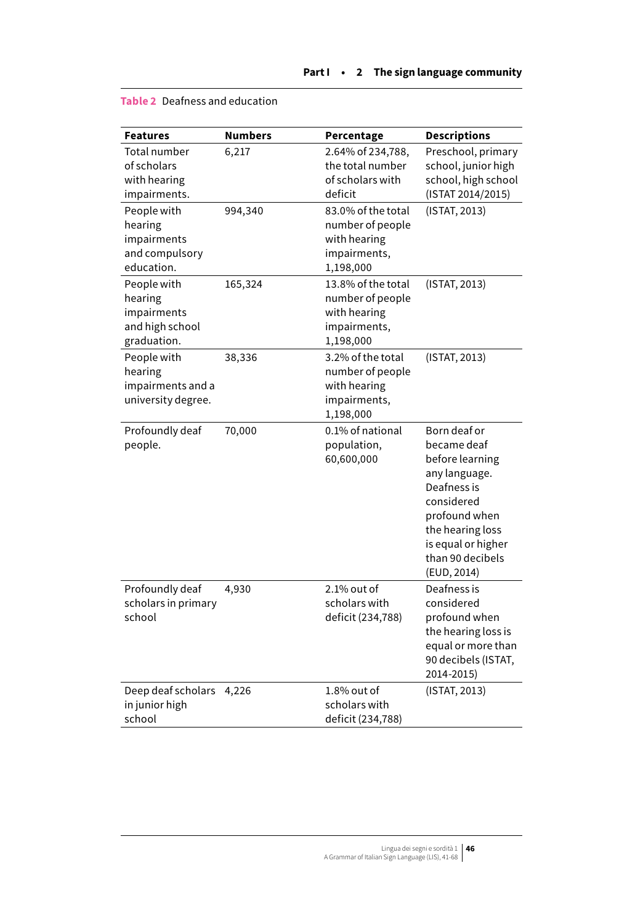| <b>Features</b>                                                         | <b>Numbers</b> | Percentage                                                                          | <b>Descriptions</b>                                                                                                                                                                        |
|-------------------------------------------------------------------------|----------------|-------------------------------------------------------------------------------------|--------------------------------------------------------------------------------------------------------------------------------------------------------------------------------------------|
| Total number<br>of scholars<br>with hearing<br>impairments.             | 6,217          | 2.64% of 234,788,<br>the total number<br>of scholars with<br>deficit                | Preschool, primary<br>school, junior high<br>school, high school<br>(ISTAT 2014/2015)                                                                                                      |
| People with<br>hearing<br>impairments<br>and compulsory<br>education.   | 994,340        | 83.0% of the total<br>number of people<br>with hearing<br>impairments,<br>1,198,000 | (ISTAT, 2013)                                                                                                                                                                              |
| People with<br>hearing<br>impairments<br>and high school<br>graduation. | 165,324        | 13.8% of the total<br>number of people<br>with hearing<br>impairments,<br>1,198,000 | (ISTAT, 2013)                                                                                                                                                                              |
| People with<br>hearing<br>impairments and a<br>university degree.       | 38,336         | 3.2% of the total<br>number of people<br>with hearing<br>impairments,<br>1,198,000  | (ISTAT, 2013)                                                                                                                                                                              |
| Profoundly deaf<br>people.                                              | 70,000         | 0.1% of national<br>population,<br>60,600,000                                       | Born deaf or<br>became deaf<br>before learning<br>any language.<br>Deafness is<br>considered<br>profound when<br>the hearing loss<br>is equal or higher<br>than 90 decibels<br>(EUD, 2014) |
| Profoundly deaf<br>scholars in primary<br>school                        | 4,930          | 2.1% out of<br>scholars with<br>deficit (234,788)                                   | Deafness is<br>considered<br>profound when<br>the hearing loss is<br>equal or more than<br>90 decibels (ISTAT,<br>2014-2015)                                                               |
| Deep deaf scholars<br>in junior high<br>school                          | 4,226          | $1.8\%$ out of<br>scholars with<br>deficit (234,788)                                | (ISTAT, 2013)                                                                                                                                                                              |

### **Table 2** Deafness and education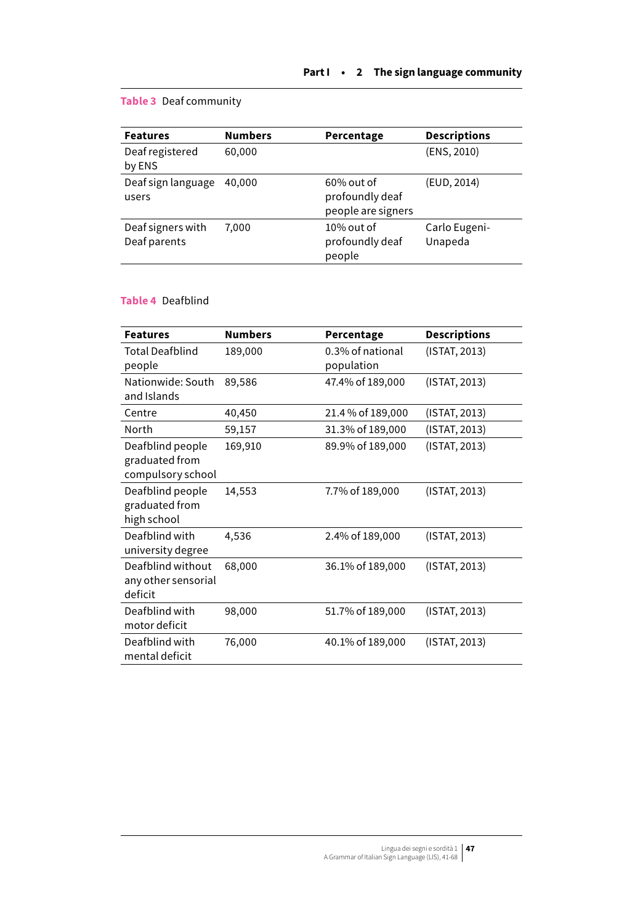## <span id="page-6-0"></span>**Table 3** Deaf community

| <b>Features</b>                   | <b>Numbers</b> | Percentage                                             | <b>Descriptions</b>      |
|-----------------------------------|----------------|--------------------------------------------------------|--------------------------|
| Deaf registered<br>by ENS         | 60,000         |                                                        | (ENS, 2010)              |
| Deaf sign language<br>users       | 40,000         | $60\%$ out of<br>profoundly deaf<br>people are signers | (EUD, 2014)              |
| Deaf signers with<br>Deaf parents | 7.000          | $10\%$ out of<br>profoundly deaf<br>people             | Carlo Eugeni-<br>Unapeda |

### **Table 4** Deafblind

| <b>Features</b>                                         | <b>Numbers</b> | Percentage                     | <b>Descriptions</b> |
|---------------------------------------------------------|----------------|--------------------------------|---------------------|
| Total Deafblind<br>people                               | 189,000        | 0.3% of national<br>population | (ISTAT, 2013)       |
| Nationwide: South<br>and Islands                        | 89,586         | 47.4% of 189,000               | (ISTAT, 2013)       |
| Centre                                                  | 40,450         | 21.4 % of 189,000              | (ISTAT, 2013)       |
| North                                                   | 59,157         | 31.3% of 189,000               | (ISTAT, 2013)       |
| Deafblind people<br>graduated from<br>compulsory school | 169,910        | 89.9% of 189,000               | (ISTAT, 2013)       |
| Deafblind people<br>graduated from<br>high school       | 14,553         | 7.7% of 189,000                | (ISTAT, 2013)       |
| Deafblind with<br>university degree                     | 4,536          | 2.4% of 189,000                | (ISTAT, 2013)       |
| Deafblind without<br>any other sensorial<br>deficit     | 68,000         | 36.1% of 189,000               | (ISTAT, 2013)       |
| Deafblind with<br>motor deficit                         | 98,000         | 51.7% of 189,000               | (ISTAT, 2013)       |
| Deafblind with<br>mental deficit                        | 76,000         | 40.1% of 189,000               | (ISTAT, 2013)       |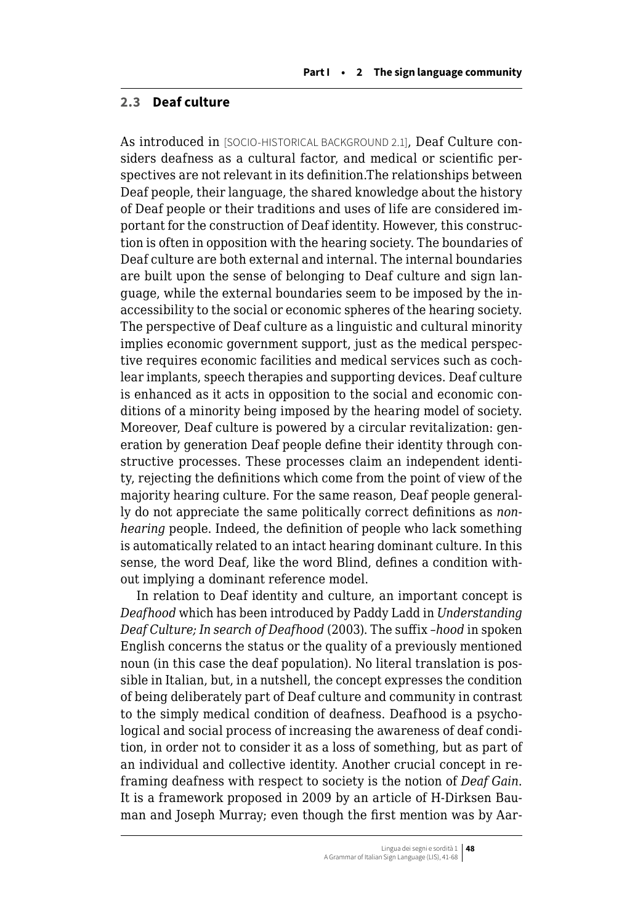### **2.3 Deaf culture**

As introduced in [SOCIO-HISTORICAL BACKGROUND 2.1], Deaf Culture considers deafness as a cultural factor, and medical or scientific perspectives are not relevant in its definition.The relationships between Deaf people, their language, the shared knowledge about the history of Deaf people or their traditions and uses of life are considered important for the construction of Deaf identity. However, this construction is often in opposition with the hearing society. The boundaries of Deaf culture are both external and internal. The internal boundaries are built upon the sense of belonging to Deaf culture and sign language, while the external boundaries seem to be imposed by the inaccessibility to the social or economic spheres of the hearing society. The perspective of Deaf culture as a linguistic and cultural minority implies economic government support, just as the medical perspective requires economic facilities and medical services such as cochlear implants, speech therapies and supporting devices. Deaf culture is enhanced as it acts in opposition to the social and economic conditions of a minority being imposed by the hearing model of society. Moreover, Deaf culture is powered by a circular revitalization: generation by generation Deaf people define their identity through constructive processes. These processes claim an independent identity, rejecting the definitions which come from the point of view of the majority hearing culture. For the same reason, Deaf people generally do not appreciate the same politically correct definitions as *nonhearing* people. Indeed, the definition of people who lack something is automatically related to an intact hearing dominant culture. In this sense, the word Deaf, like the word Blind, defines a condition without implying a dominant reference model.

In relation to Deaf identity and culture, an important concept is *Deafhood* which has been introduced by Paddy Ladd in *Understanding Deaf Culture; In search of Deafhood* (2003). The suffix *–hood* in spoken English concerns the status or the quality of a previously mentioned noun (in this case the deaf population). No literal translation is possible in Italian, but, in a nutshell, the concept expresses the condition of being deliberately part of Deaf culture and community in contrast to the simply medical condition of deafness. Deafhood is a psychological and social process of increasing the awareness of deaf condition, in order not to consider it as a loss of something, but as part of an individual and collective identity. Another crucial concept in reframing deafness with respect to society is the notion of *Deaf Gain*. It is a framework proposed in 2009 by an article of H-Dirksen Bauman and Joseph Murray; even though the first mention was by Aar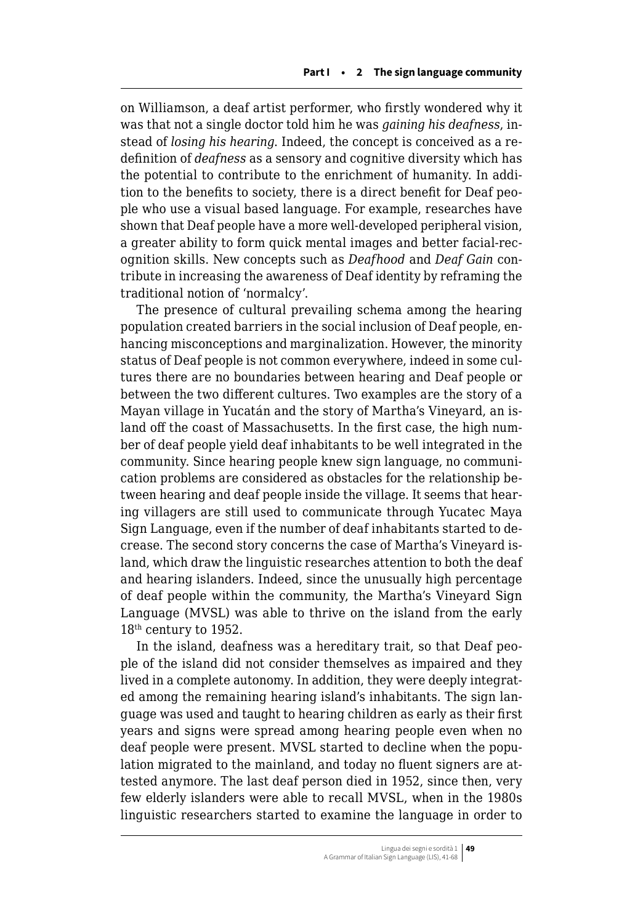on Williamson, a deaf artist performer, who firstly wondered why it was that not a single doctor told him he was *gaining his deafness*, instead of *losing his hearing*. Indeed, the concept is conceived as a redefinition of *deafness* as a sensory and cognitive diversity which has the potential to contribute to the enrichment of humanity. In addition to the benefits to society, there is a direct benefit for Deaf people who use a visual based language. For example, researches have shown that Deaf people have a more well-developed peripheral vision, a greater ability to form quick mental images and better facial-recognition skills. New concepts such as *Deafhood* and *Deaf Gain* contribute in increasing the awareness of Deaf identity by reframing the traditional notion of 'normalcy'.

The presence of cultural prevailing schema among the hearing population created barriers in the social inclusion of Deaf people, enhancing misconceptions and marginalization. However, the minority status of Deaf people is not common everywhere, indeed in some cultures there are no boundaries between hearing and Deaf people or between the two different cultures. Two examples are the story of a Mayan village in Yucatán and the story of Martha's Vineyard, an island off the coast of Massachusetts. In the first case, the high number of deaf people yield deaf inhabitants to be well integrated in the community. Since hearing people knew sign language, no communication problems are considered as obstacles for the relationship between hearing and deaf people inside the village. It seems that hearing villagers are still used to communicate through Yucatec Maya Sign Language, even if the number of deaf inhabitants started to decrease. The second story concerns the case of Martha's Vineyard island, which draw the linguistic researches attention to both the deaf and hearing islanders. Indeed, since the unusually high percentage of deaf people within the community, the Martha's Vineyard Sign Language (MVSL) was able to thrive on the island from the early 18th century to 1952.

In the island, deafness was a hereditary trait, so that Deaf people of the island did not consider themselves as impaired and they lived in a complete autonomy. In addition, they were deeply integrated among the remaining hearing island's inhabitants. The sign language was used and taught to hearing children as early as their first years and signs were spread among hearing people even when no deaf people were present. MVSL started to decline when the population migrated to the mainland, and today no fluent signers are attested anymore. The last deaf person died in 1952, since then, very few elderly islanders were able to recall MVSL, when in the 1980s linguistic researchers started to examine the language in order to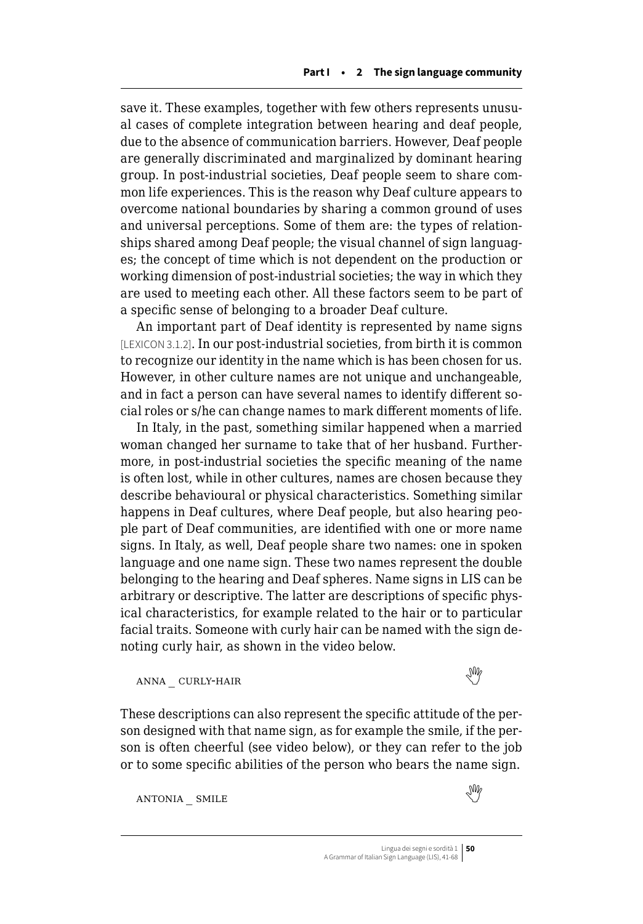save it. These examples, together with few others represents unusual cases of complete integration between hearing and deaf people, due to the absence of communication barriers. However, Deaf people are generally discriminated and marginalized by dominant hearing group. In post-industrial societies, Deaf people seem to share common life experiences. This is the reason why Deaf culture appears to overcome national boundaries by sharing a common ground of uses and universal perceptions. Some of them are: the types of relationships shared among Deaf people; the visual channel of sign languages; the concept of time which is not dependent on the production or working dimension of post-industrial societies; the way in which they are used to meeting each other. All these factors seem to be part of a specific sense of belonging to a broader Deaf culture.

An important part of Deaf identity is represented by name signs [LEXICON 3.1.2]. In our post-industrial societies, from birth it is common to recognize our identity in the name which is has been chosen for us. However, in other culture names are not unique and unchangeable, and in fact a person can have several names to identify different social roles or s/he can change names to mark different moments of life.

In Italy, in the past, something similar happened when a married woman changed her surname to take that of her husband. Furthermore, in post-industrial societies the specific meaning of the name is often lost, while in other cultures, names are chosen because they describe behavioural or physical characteristics. Something similar happens in Deaf cultures, where Deaf people, but also hearing people part of Deaf communities, are identified with one or more name signs. In Italy, as well, Deaf people share two names: one in spoken language and one name sign. These two names represent the double belonging to the hearing and Deaf spheres. Name signs in LIS can be arbitrary or descriptive. The latter are descriptions of specific physical characteristics, for example related to the hair or to particular facial traits. Someone with curly hair can be named with the sign denoting curly hair, as shown in the video below.

# anna $\text{curv-Ha}$ ir

These descriptions can also represent the specific attitude of the person designed with that name sign, as for example the smile, if the person is often cheerful (see video below), or they can refer to the job or to some specific abilities of the person who bears the name sign.

antonia \_ smile 

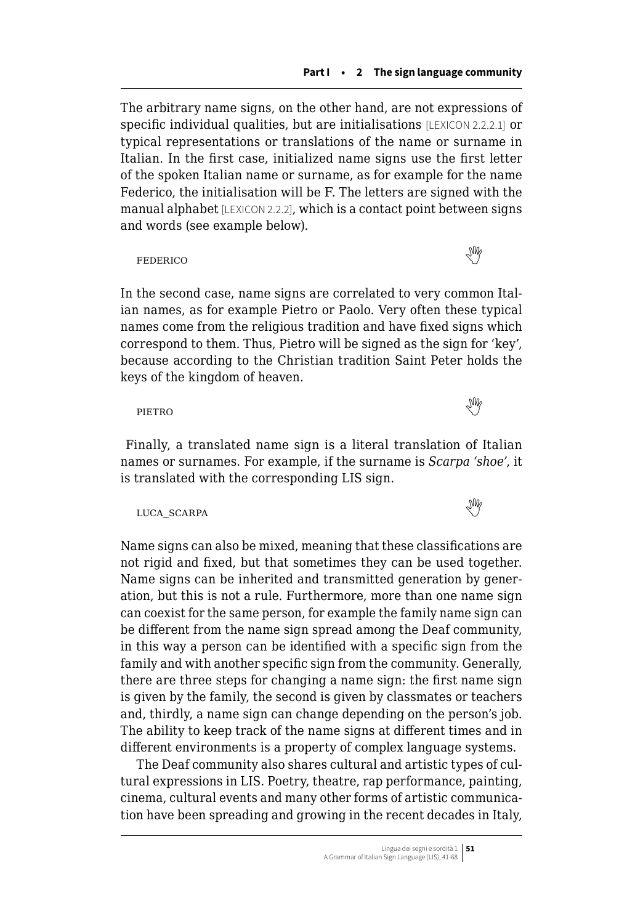The arbitrary name signs, on the other hand, are not expressions of specific individual qualities, but are initialisations [LEXICON 2.2.2.1] or typical representations or translations of the name or surname in Italian. In the first case, initialized name signs use the first letter of the spoken Italian name or surname, as for example for the name Federico, the initialisation will be F. The letters are signed with the manual alphabet [LEXICON 2.2.2], which is a contact point between signs and words (see example below).

FEDERICONECESSARIO E EL CONSTRUITO DE SUR EL CONSTRUITO DE SUR EL CONSTRUITO DE SUR EL CONSTRUITO DE SUR EL CONSTRUITO DE SUR EL CONSTRUITO DE SUR EL CONSTRUITO DE SUR EL CONSTRUITO DE SUR EL CONSTRUITO DE SUR EL CONSTRUI

In the second case, name signs are correlated to very common Italian names, as for example Pietro or Paolo. Very often these typical names come from the religious tradition and have fixed signs which correspond to them. Thus, Pietro will be signed as the sign for 'key', because according to the Christian tradition Saint Peter holds the keys of the kingdom of heaven.

pietrode la contradición de la contradición de la contradición de la contradición de la contradición de la co

 Finally, a translated name sign is a literal translation of Italian names or surnames. For example, if the surname is *Scarpa 'shoe'*, it is translated with the corresponding LIS sign.

luca\_scarpa 

Name signs can also be mixed, meaning that these classifications are not rigid and fixed, but that sometimes they can be used together. Name signs can be inherited and transmitted generation by generation, but this is not a rule. Furthermore, more than one name sign can coexist for the same person, for example the family name sign can be different from the name sign spread among the Deaf community, in this way a person can be identified with a specific sign from the family and with another specific sign from the community. Generally, there are three steps for changing a name sign: the first name sign is given by the family, the second is given by classmates or teachers and, thirdly, a name sign can change depending on the person's job. The ability to keep track of the name signs at different times and in different environments is a property of complex language systems.

The Deaf community also shares cultural and artistic types of cultural expressions in LIS. Poetry, theatre, rap performance, painting, cinema, cultural events and many other forms of artistic communication have been spreading and growing in the recent decades in Italy,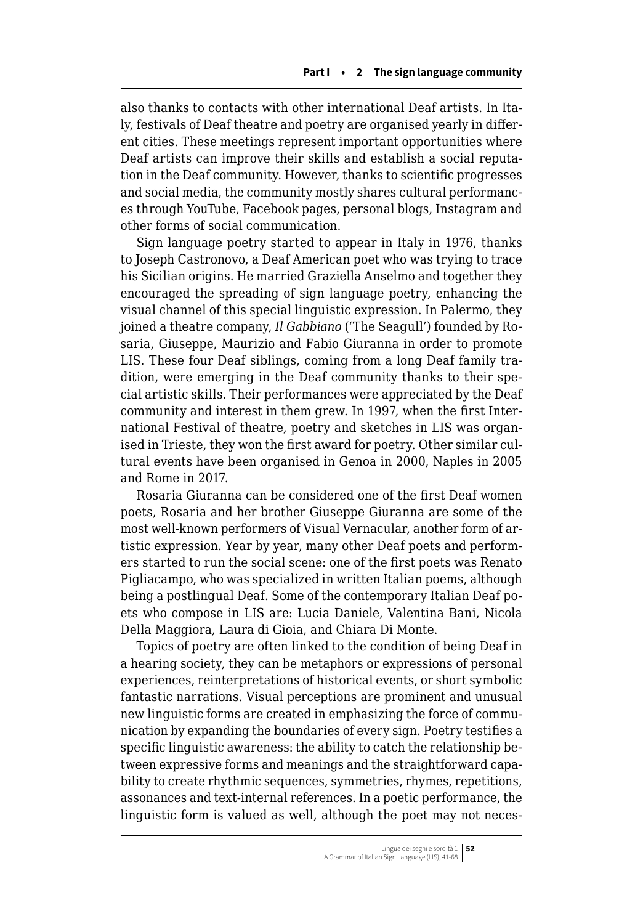also thanks to contacts with other international Deaf artists. In Italy, festivals of Deaf theatre and poetry are organised yearly in different cities. These meetings represent important opportunities where Deaf artists can improve their skills and establish a social reputation in the Deaf community. However, thanks to scientific progresses and social media, the community mostly shares cultural performances through YouTube, Facebook pages, personal blogs, Instagram and other forms of social communication.

Sign language poetry started to appear in Italy in 1976, thanks to Joseph Castronovo, a Deaf American poet who was trying to trace his Sicilian origins. He married Graziella Anselmo and together they encouraged the spreading of sign language poetry, enhancing the visual channel of this special linguistic expression. In Palermo, they joined a theatre company, *Il Gabbiano* ('The Seagull') founded by Rosaria, Giuseppe, Maurizio and Fabio Giuranna in order to promote LIS. These four Deaf siblings, coming from a long Deaf family tradition, were emerging in the Deaf community thanks to their special artistic skills. Their performances were appreciated by the Deaf community and interest in them grew. In 1997, when the first International Festival of theatre, poetry and sketches in LIS was organised in Trieste, they won the first award for poetry. Other similar cultural events have been organised in Genoa in 2000, Naples in 2005 and Rome in 2017.

Rosaria Giuranna can be considered one of the first Deaf women poets, Rosaria and her brother Giuseppe Giuranna are some of the most well-known performers of Visual Vernacular, another form of artistic expression. Year by year, many other Deaf poets and performers started to run the social scene: one of the first poets was Renato Pigliacampo, who was specialized in written Italian poems, although being a postlingual Deaf. Some of the contemporary Italian Deaf poets who compose in LIS are: Lucia Daniele, Valentina Bani, Nicola Della Maggiora, Laura di Gioia, and Chiara Di Monte.

Topics of poetry are often linked to the condition of being Deaf in a hearing society, they can be metaphors or expressions of personal experiences, reinterpretations of historical events, or short symbolic fantastic narrations. Visual perceptions are prominent and unusual new linguistic forms are created in emphasizing the force of communication by expanding the boundaries of every sign. Poetry testifies a specific linguistic awareness: the ability to catch the relationship between expressive forms and meanings and the straightforward capability to create rhythmic sequences, symmetries, rhymes, repetitions, assonances and text-internal references. In a poetic performance, the linguistic form is valued as well, although the poet may not neces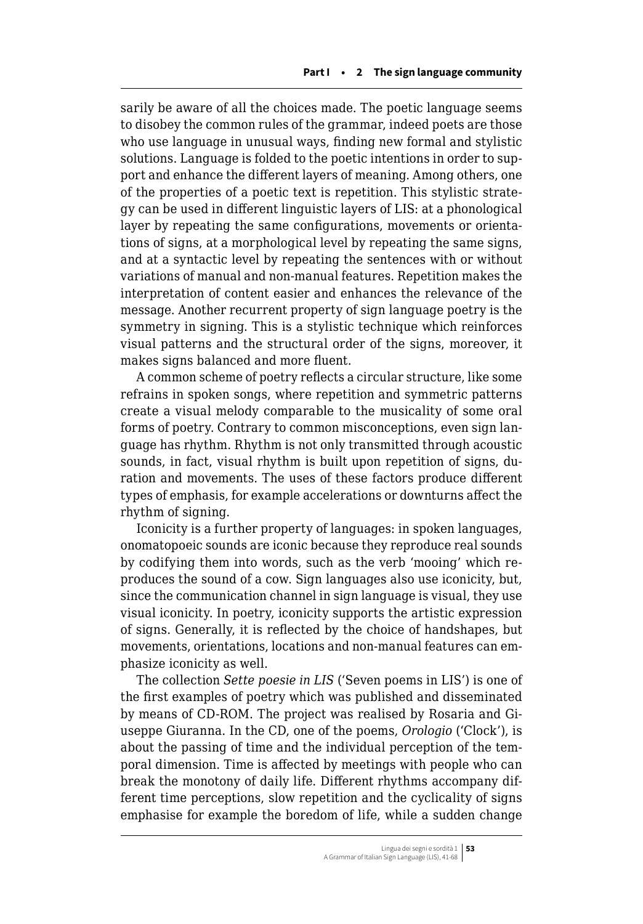sarily be aware of all the choices made. The poetic language seems to disobey the common rules of the grammar, indeed poets are those who use language in unusual ways, finding new formal and stylistic solutions. Language is folded to the poetic intentions in order to support and enhance the different layers of meaning. Among others, one of the properties of a poetic text is repetition. This stylistic strategy can be used in different linguistic layers of LIS: at a phonological layer by repeating the same configurations, movements or orientations of signs, at a morphological level by repeating the same signs, and at a syntactic level by repeating the sentences with or without variations of manual and non-manual features. Repetition makes the interpretation of content easier and enhances the relevance of the message. Another recurrent property of sign language poetry is the symmetry in signing. This is a stylistic technique which reinforces visual patterns and the structural order of the signs, moreover, it makes signs balanced and more fluent.

A common scheme of poetry reflects a circular structure, like some refrains in spoken songs, where repetition and symmetric patterns create a visual melody comparable to the musicality of some oral forms of poetry. Contrary to common misconceptions, even sign language has rhythm. Rhythm is not only transmitted through acoustic sounds, in fact, visual rhythm is built upon repetition of signs, duration and movements. The uses of these factors produce different types of emphasis, for example accelerations or downturns affect the rhythm of signing.

Iconicity is a further property of languages: in spoken languages, onomatopoeic sounds are iconic because they reproduce real sounds by codifying them into words, such as the verb 'mooing' which reproduces the sound of a cow. Sign languages also use iconicity, but, since the communication channel in sign language is visual, they use visual iconicity. In poetry, iconicity supports the artistic expression of signs. Generally, it is reflected by the choice of handshapes, but movements, orientations, locations and non-manual features can emphasize iconicity as well.

The collection *Sette poesie in LIS* ('Seven poems in LIS') is one of the first examples of poetry which was published and disseminated by means of CD-ROM. The project was realised by Rosaria and Giuseppe Giuranna. In the CD, one of the poems, *Orologio* ('Clock'), is about the passing of time and the individual perception of the temporal dimension. Time is affected by meetings with people who can break the monotony of daily life. Different rhythms accompany different time perceptions, slow repetition and the cyclicality of signs emphasise for example the boredom of life, while a sudden change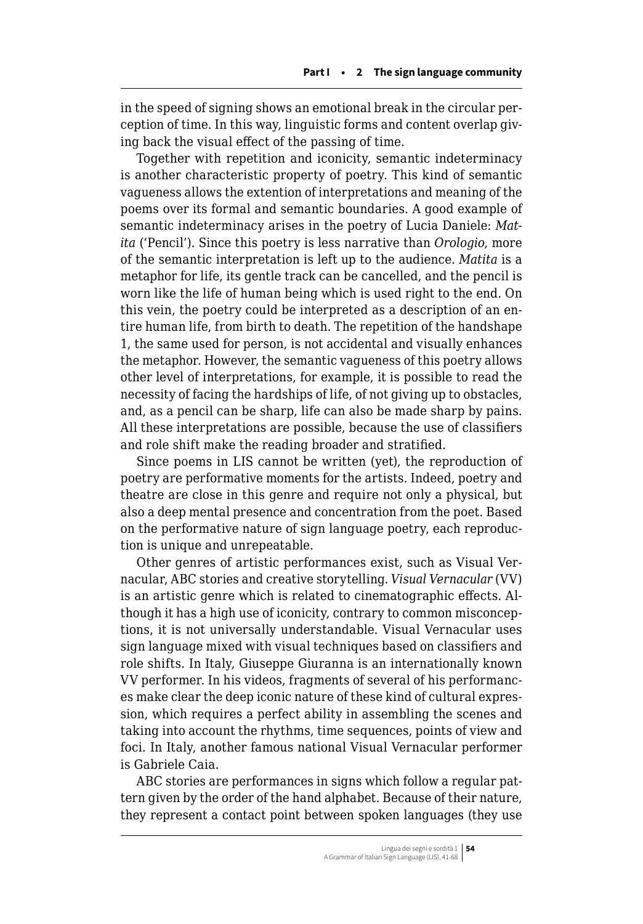in the speed of signing shows an emotional break in the circular perception of time. In this way, linguistic forms and content overlap giving back the visual effect of the passing of time.

Together with repetition and iconicity, semantic indeterminacy is another characteristic property of poetry. This kind of semantic vagueness allows the extention of interpretations and meaning of the poems over its formal and semantic boundaries. A good example of semantic indeterminacy arises in the poetry of Lucia Daniele: *Matita* ('Pencil'). Since this poetry is less narrative than *Orologio*, more of the semantic interpretation is left up to the audience. *Matita* is a metaphor for life, its gentle track can be cancelled, and the pencil is worn like the life of human being which is used right to the end. On this vein, the poetry could be interpreted as a description of an entire human life, from birth to death. The repetition of the handshape 1, the same used for person, is not accidental and visually enhances the metaphor. However, the semantic vagueness of this poetry allows other level of interpretations, for example, it is possible to read the necessity of facing the hardships of life, of not giving up to obstacles, and, as a pencil can be sharp, life can also be made sharp by pains. All these interpretations are possible, because the use of classifiers and role shift make the reading broader and stratified.

Since poems in LIS cannot be written (yet), the reproduction of poetry are performative moments for the artists. Indeed, poetry and theatre are close in this genre and require not only a physical, but also a deep mental presence and concentration from the poet. Based on the performative nature of sign language poetry, each reproduction is unique and unrepeatable.

Other genres of artistic performances exist, such as Visual Vernacular, ABC stories and creative storytelling. *Visual Vernacular* (VV) is an artistic genre which is related to cinematographic effects. Although it has a high use of iconicity, contrary to common misconceptions, it is not universally understandable. Visual Vernacular uses sign language mixed with visual techniques based on classifiers and role shifts. In Italy, Giuseppe Giuranna is an internationally known VV performer. In his videos, fragments of several of his performances make clear the deep iconic nature of these kind of cultural expression, which requires a perfect ability in assembling the scenes and taking into account the rhythms, time sequences, points of view and foci. In Italy, another famous national Visual Vernacular performer is Gabriele Caia.

ABC stories are performances in signs which follow a regular pattern given by the order of the hand alphabet. Because of their nature, they represent a contact point between spoken languages (they use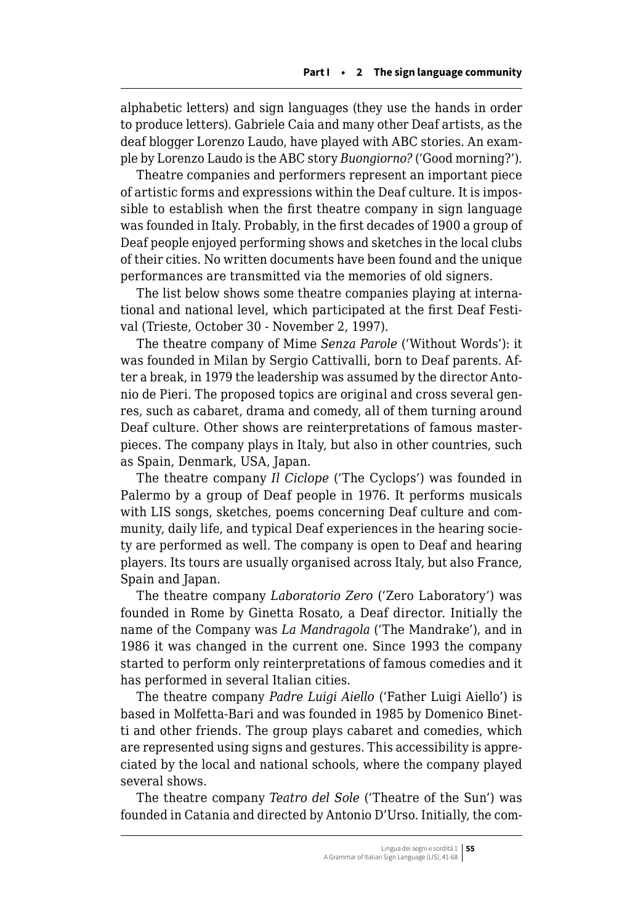alphabetic letters) and sign languages (they use the hands in order to produce letters). Gabriele Caia and many other Deaf artists, as the deaf blogger Lorenzo Laudo, have played with ABC stories. An example by Lorenzo Laudo is the ABC story *Buongiorno?* ('Good morning?').

Theatre companies and performers represent an important piece of artistic forms and expressions within the Deaf culture. It is impossible to establish when the first theatre company in sign language was founded in Italy. Probably, in the first decades of 1900 a group of Deaf people enjoyed performing shows and sketches in the local clubs of their cities. No written documents have been found and the unique performances are transmitted via the memories of old signers.

The list below shows some theatre companies playing at international and national level, which participated at the first Deaf Festival (Trieste, October 30 - November 2, 1997).

The theatre company of Mime *Senza Parole* ('Without Words'): it was founded in Milan by Sergio Cattivalli, born to Deaf parents. After a break, in 1979 the leadership was assumed by the director Antonio de Pieri. The proposed topics are original and cross several genres, such as cabaret, drama and comedy, all of them turning around Deaf culture. Other shows are reinterpretations of famous masterpieces. The company plays in Italy, but also in other countries, such as Spain, Denmark, USA, Japan.

The theatre company *Il Ciclope* ('The Cyclops') was founded in Palermo by a group of Deaf people in 1976. It performs musicals with LIS songs, sketches, poems concerning Deaf culture and community, daily life, and typical Deaf experiences in the hearing society are performed as well. The company is open to Deaf and hearing players. Its tours are usually organised across Italy, but also France, Spain and Japan.

The theatre company *Laboratorio Zero* ('Zero Laboratory') was founded in Rome by Ginetta Rosato, a Deaf director. Initially the name of the Company was *La Mandragola* ('The Mandrake'), and in 1986 it was changed in the current one. Since 1993 the company started to perform only reinterpretations of famous comedies and it has performed in several Italian cities.

The theatre company *Padre Luigi Aiello* ('Father Luigi Aiello') is based in Molfetta-Bari and was founded in 1985 by Domenico Binetti and other friends. The group plays cabaret and comedies, which are represented using signs and gestures. This accessibility is appreciated by the local and national schools, where the company played several shows.

The theatre company *Teatro del Sole* ('Theatre of the Sun') was founded in Catania and directed by Antonio D'Urso. Initially, the com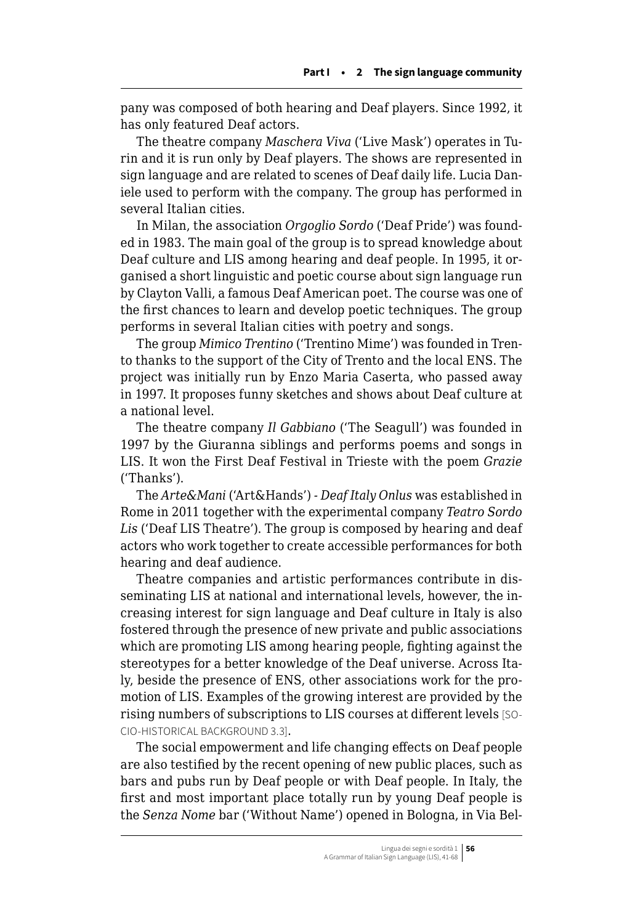pany was composed of both hearing and Deaf players. Since 1992, it has only featured Deaf actors.

The theatre company *Maschera Viva* ('Live Mask') operates in Turin and it is run only by Deaf players. The shows are represented in sign language and are related to scenes of Deaf daily life. Lucia Daniele used to perform with the company. The group has performed in several Italian cities.

In Milan, the association *Orgoglio Sordo* ('Deaf Pride') was founded in 1983. The main goal of the group is to spread knowledge about Deaf culture and LIS among hearing and deaf people. In 1995, it organised a short linguistic and poetic course about sign language run by Clayton Valli, a famous Deaf American poet. The course was one of the first chances to learn and develop poetic techniques. The group performs in several Italian cities with poetry and songs.

The group *Mimico Trentino* ('Trentino Mime') was founded in Trento thanks to the support of the City of Trento and the local ENS. The project was initially run by Enzo Maria Caserta, who passed away in 1997. It proposes funny sketches and shows about Deaf culture at a national level.

The theatre company *Il Gabbiano* ('The Seagull') was founded in 1997 by the Giuranna siblings and performs poems and songs in LIS. It won the First Deaf Festival in Trieste with the poem *Grazie* ('Thanks').

The *Arte&Mani* ('Art&Hands') *- Deaf Italy Onlus* was established in Rome in 2011 together with the experimental company *Teatro Sordo Lis* ('Deaf LIS Theatre'). The group is composed by hearing and deaf actors who work together to create accessible performances for both hearing and deaf audience.

Theatre companies and artistic performances contribute in disseminating LIS at national and international levels, however, the increasing interest for sign language and Deaf culture in Italy is also fostered through the presence of new private and public associations which are promoting LIS among hearing people, fighting against the stereotypes for a better knowledge of the Deaf universe. Across Italy, beside the presence of ENS, other associations work for the promotion of LIS. Examples of the growing interest are provided by the rising numbers of subscriptions to LIS courses at different levels [SO-CIO-HISTORICAL BACKGROUND 3.3].

The social empowerment and life changing effects on Deaf people are also testified by the recent opening of new public places, such as bars and pubs run by Deaf people or with Deaf people. In Italy, the first and most important place totally run by young Deaf people is the *Senza Nome* bar ('Without Name') opened in Bologna, in Via Bel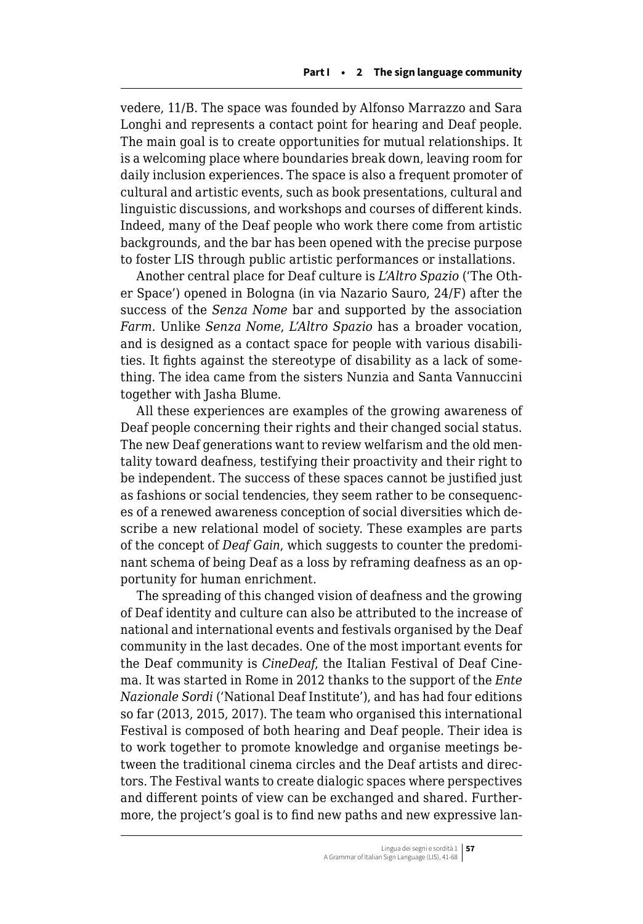vedere, 11/B. The space was founded by Alfonso Marrazzo and Sara Longhi and represents a contact point for hearing and Deaf people. The main goal is to create opportunities for mutual relationships. It is a welcoming place where boundaries break down, leaving room for daily inclusion experiences. The space is also a frequent promoter of cultural and artistic events, such as book presentations, cultural and linguistic discussions, and workshops and courses of different kinds. Indeed, many of the Deaf people who work there come from artistic backgrounds, and the bar has been opened with the precise purpose to foster LIS through public artistic performances or installations.

Another central place for Deaf culture is *L'Altro Spazio* ('The Other Space') opened in Bologna (in via Nazario Sauro, 24/F) after the success of the *Senza Nome* bar and supported by the association *Farm*. Unlike *Senza Nome*, *L'Altro Spazio* has a broader vocation, and is designed as a contact space for people with various disabilities. It fights against the stereotype of disability as a lack of something. The idea came from the sisters Nunzia and Santa Vannuccini together with Jasha Blume.

All these experiences are examples of the growing awareness of Deaf people concerning their rights and their changed social status. The new Deaf generations want to review welfarism and the old mentality toward deafness, testifying their proactivity and their right to be independent. The success of these spaces cannot be justified just as fashions or social tendencies, they seem rather to be consequences of a renewed awareness conception of social diversities which describe a new relational model of society. These examples are parts of the concept of *Deaf Gain*, which suggests to counter the predominant schema of being Deaf as a loss by reframing deafness as an opportunity for human enrichment.

The spreading of this changed vision of deafness and the growing of Deaf identity and culture can also be attributed to the increase of national and international events and festivals organised by the Deaf community in the last decades. One of the most important events for the Deaf community is *CineDeaf*, the Italian Festival of Deaf Cinema. It was started in Rome in 2012 thanks to the support of the *Ente Nazionale Sordi* ('National Deaf Institute'), and has had four editions so far (2013, 2015, 2017). The team who organised this international Festival is composed of both hearing and Deaf people. Their idea is to work together to promote knowledge and organise meetings between the traditional cinema circles and the Deaf artists and directors. The Festival wants to create dialogic spaces where perspectives and different points of view can be exchanged and shared. Furthermore, the project's goal is to find new paths and new expressive lan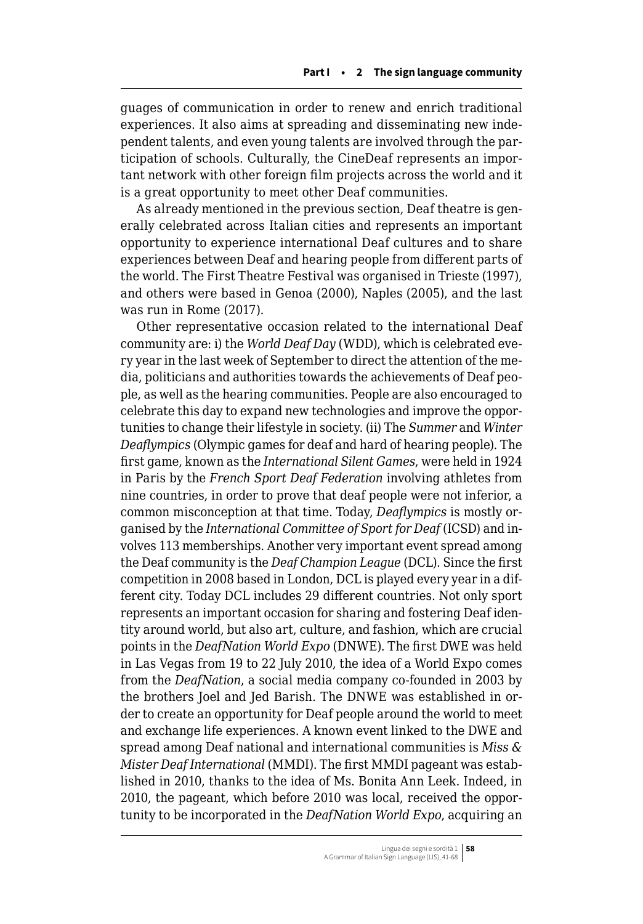guages of communication in order to renew and enrich traditional experiences. It also aims at spreading and disseminating new independent talents, and even young talents are involved through the participation of schools. Culturally, the CineDeaf represents an important network with other foreign film projects across the world and it is a great opportunity to meet other Deaf communities.

As already mentioned in the previous section, Deaf theatre is generally celebrated across Italian cities and represents an important opportunity to experience international Deaf cultures and to share experiences between Deaf and hearing people from different parts of the world. The First Theatre Festival was organised in Trieste (1997), and others were based in Genoa (2000), Naples (2005), and the last was run in Rome (2017).

Other representative occasion related to the international Deaf community are: i) the *World Deaf Day* (WDD), which is celebrated every year in the last week of September to direct the attention of the media, politicians and authorities towards the achievements of Deaf people, as well as the hearing communities. People are also encouraged to celebrate this day to expand new technologies and improve the opportunities to change their lifestyle in society. (ii) The *Summer* and *Winter Deaflympics* (Olympic games for deaf and hard of hearing people). The first game, known as the *International Silent Games*, were held in 1924 in Paris by the *French Sport Deaf Federation* involving athletes from nine countries, in order to prove that deaf people were not inferior, a common misconception at that time. Today, *Deaflympics* is mostly organised by the *International Committee of Sport for Deaf* (ICSD) and involves 113 memberships. Another very important event spread among the Deaf community is the *Deaf Champion League* (DCL). Since the first competition in 2008 based in London, DCL is played every year in a different city. Today DCL includes 29 different countries. Not only sport represents an important occasion for sharing and fostering Deaf identity around world, but also art, culture, and fashion, which are crucial points in the *DeafNation World Expo* (DNWE). The first DWE was held in Las Vegas from 19 to 22 July 2010, the idea of a World Expo comes from the *DeafNation*, a social media company co-founded in 2003 by the brothers Joel and Jed Barish. The DNWE was established in order to create an opportunity for Deaf people around the world to meet and exchange life experiences. A known event linked to the DWE and spread among Deaf national and international communities is *Miss & Mister Deaf International* (MMDI). The first MMDI pageant was established in 2010, thanks to the idea of Ms. Bonita Ann Leek. Indeed, in 2010, the pageant, which before 2010 was local, received the opportunity to be incorporated in the *DeafNation World Expo*, acquiring an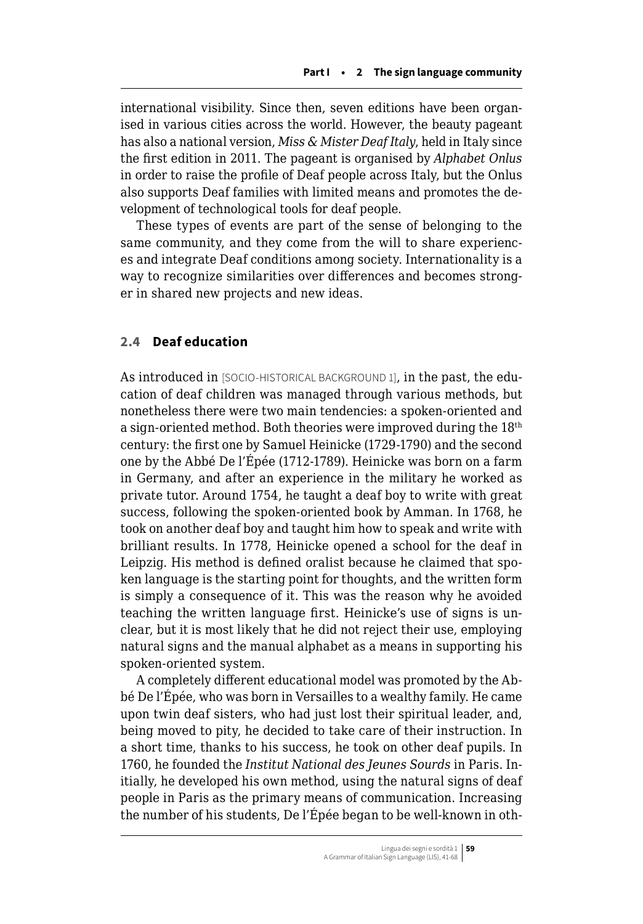<span id="page-18-0"></span>international visibility. Since then, seven editions have been organised in various cities across the world. However, the beauty pageant has also a national version, *Miss & Mister Deaf Italy*, held in Italy since the first edition in 2011. The pageant is organised by *Alphabet Onlus* in order to raise the profile of Deaf people across Italy, but the Onlus also supports Deaf families with limited means and promotes the development of technological tools for deaf people.

These types of events are part of the sense of belonging to the same community, and they come from the will to share experiences and integrate Deaf conditions among society. Internationality is a way to recognize similarities over differences and becomes stronger in shared new projects and new ideas.

### **2.4 Deaf education**

As introduced in [SOCIO-HISTORICAL BACKGROUND 1], in the past, the education of deaf children was managed through various methods, but nonetheless there were two main tendencies: a spoken-oriented and a sign-oriented method. Both theories were improved during the 18th century: the first one by Samuel Heinicke (1729-1790) and the second one by the Abbé De l'Épée (1712-1789). Heinicke was born on a farm in Germany, and after an experience in the military he worked as private tutor. Around 1754, he taught a deaf boy to write with great success, following the spoken-oriented book by Amman. In 1768, he took on another deaf boy and taught him how to speak and write with brilliant results. In 1778, Heinicke opened a school for the deaf in Leipzig. His method is defined oralist because he claimed that spoken language is the starting point for thoughts, and the written form is simply a consequence of it. This was the reason why he avoided teaching the written language first. Heinicke's use of signs is unclear, but it is most likely that he did not reject their use, employing natural signs and the manual alphabet as a means in supporting his spoken-oriented system.

A completely different educational model was promoted by the Abbé De l'Épée, who was born in Versailles to a wealthy family. He came upon twin deaf sisters, who had just lost their spiritual leader, and, being moved to pity, he decided to take care of their instruction. In a short time, thanks to his success, he took on other deaf pupils. In 1760, he founded the *Institut National des Jeunes Sourds* in Paris. Initially, he developed his own method, using the natural signs of deaf people in Paris as the primary means of communication. Increasing the number of his students, De l'Épée began to be well-known in oth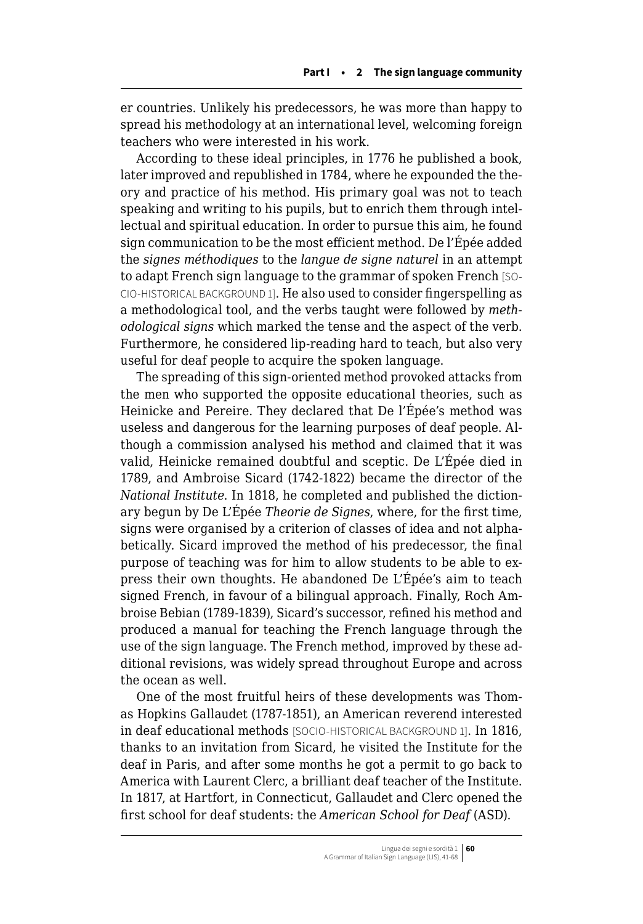er countries. Unlikely his predecessors, he was more than happy to spread his methodology at an international level, welcoming foreign teachers who were interested in his work.

According to these ideal principles, in 1776 he published a book, later improved and republished in 1784, where he expounded the theory and practice of his method. His primary goal was not to teach speaking and writing to his pupils, but to enrich them through intellectual and spiritual education. In order to pursue this aim, he found sign communication to be the most efficient method. De l'Épée added the *signes méthodiques* to the *langue de signe naturel* in an attempt to adapt French sign language to the grammar of spoken French [SO-CIO-HISTORICAL BACKGROUND 1]. He also used to consider fingerspelling as a methodological tool, and the verbs taught were followed by *methodological signs* which marked the tense and the aspect of the verb. Furthermore, he considered lip-reading hard to teach, but also very useful for deaf people to acquire the spoken language.

The spreading of this sign-oriented method provoked attacks from the men who supported the opposite educational theories, such as Heinicke and Pereire. They declared that De l'Épée's method was useless and dangerous for the learning purposes of deaf people. Although a commission analysed his method and claimed that it was valid, Heinicke remained doubtful and sceptic. De L'Épée died in 1789, and Ambroise Sicard (1742-1822) became the director of the *National Institute*. In 1818, he completed and published the dictionary begun by De L'Épée *Theorie de Signes*, where, for the first time, signs were organised by a criterion of classes of idea and not alphabetically. Sicard improved the method of his predecessor, the final purpose of teaching was for him to allow students to be able to express their own thoughts. He abandoned De L'Épée's aim to teach signed French, in favour of a bilingual approach. Finally, Roch Ambroise Bebian (1789-1839), Sicard's successor, refined his method and produced a manual for teaching the French language through the use of the sign language. The French method, improved by these additional revisions, was widely spread throughout Europe and across the ocean as well.

One of the most fruitful heirs of these developments was Thomas Hopkins Gallaudet (1787-1851), an American reverend interested in deaf educational methods [SOCIO-HISTORICAL BACKGROUND 1]. In 1816, thanks to an invitation from Sicard, he visited the Institute for the deaf in Paris, and after some months he got a permit to go back to America with Laurent Clerc, a brilliant deaf teacher of the Institute. In 1817, at Hartfort, in Connecticut, Gallaudet and Clerc opened the first school for deaf students: the *American School for Deaf* (ASD).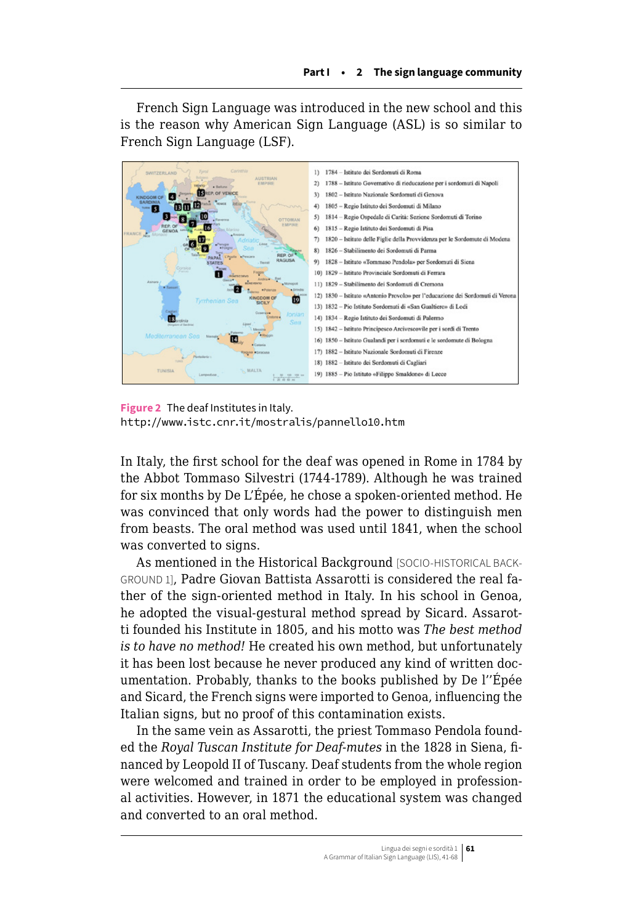French Sign Language was introduced in the new school and this is the reason why American Sign Language (ASL) is so similar to French Sign Language (LSF).



**Figure 2** The deaf Institutes in Italy. <http://www.istc.cnr.it/mostralis/pannello10.htm>

In Italy, the first school for the deaf was opened in Rome in 1784 by the Abbot Tommaso Silvestri (1744-1789). Although he was trained for six months by De L'Épée, he chose a spoken-oriented method. He was convinced that only words had the power to distinguish men from beasts. The oral method was used until 1841, when the school was converted to signs.

As mentioned in the Historical Background [SOCIO-HISTORICAL BACK-GROUND 1], Padre Giovan Battista Assarotti is considered the real father of the sign-oriented method in Italy. In his school in Genoa, he adopted the visual-gestural method spread by Sicard. Assarotti founded his Institute in 1805, and his motto was *The best method is to have no method!* He created his own method, but unfortunately it has been lost because he never produced any kind of written documentation. Probably, thanks to the books published by De l''Épée and Sicard, the French signs were imported to Genoa, influencing the Italian signs, but no proof of this contamination exists.

In the same vein as Assarotti, the priest Tommaso Pendola founded the *Royal Tuscan Institute for Deaf-mutes* in the 1828 in Siena, financed by Leopold II of Tuscany. Deaf students from the whole region were welcomed and trained in order to be employed in professional activities. However, in 1871 the educational system was changed and converted to an oral method.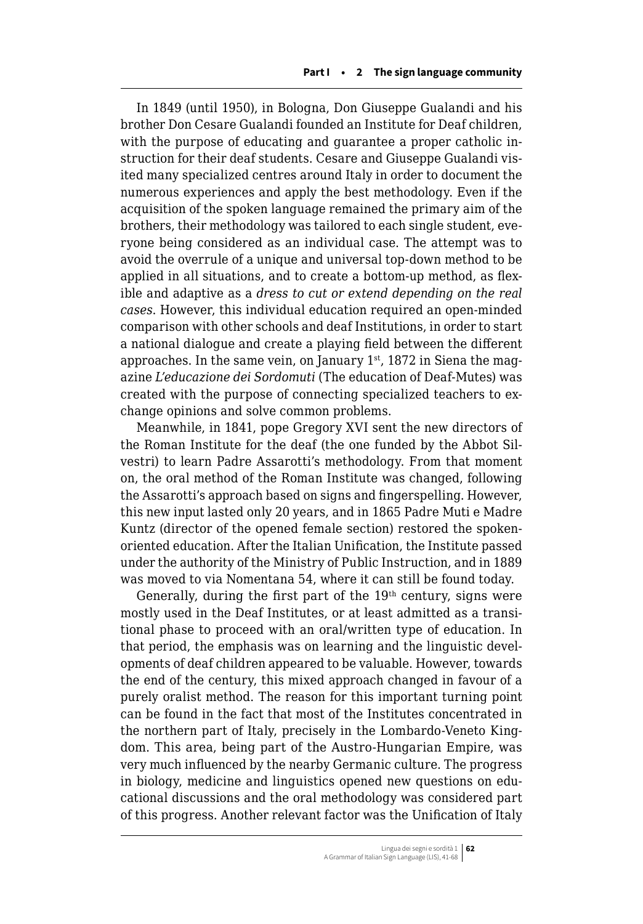In 1849 (until 1950), in Bologna, Don Giuseppe Gualandi and his brother Don Cesare Gualandi founded an Institute for Deaf children, with the purpose of educating and guarantee a proper catholic instruction for their deaf students. Cesare and Giuseppe Gualandi visited many specialized centres around Italy in order to document the numerous experiences and apply the best methodology. Even if the acquisition of the spoken language remained the primary aim of the brothers, their methodology was tailored to each single student, everyone being considered as an individual case. The attempt was to avoid the overrule of a unique and universal top-down method to be applied in all situations, and to create a bottom-up method, as flexible and adaptive as a *dress to cut or extend depending on the real cases*. However, this individual education required an open-minded comparison with other schools and deaf Institutions, in order to start a national dialogue and create a playing field between the different approaches. In the same vein, on January  $1<sup>st</sup>$ , 1872 in Siena the magazine *L'educazione dei Sordomuti* (The education of Deaf-Mutes) was created with the purpose of connecting specialized teachers to exchange opinions and solve common problems.

Meanwhile, in 1841, pope Gregory XVI sent the new directors of the Roman Institute for the deaf (the one funded by the Abbot Silvestri) to learn Padre Assarotti's methodology. From that moment on, the oral method of the Roman Institute was changed, following the Assarotti's approach based on signs and fingerspelling. However, this new input lasted only 20 years, and in 1865 Padre Muti e Madre Kuntz (director of the opened female section) restored the spokenoriented education. After the Italian Unification, the Institute passed under the authority of the Ministry of Public Instruction, and in 1889 was moved to via Nomentana 54, where it can still be found today.

Generally, during the first part of the  $19<sup>th</sup>$  century, signs were mostly used in the Deaf Institutes, or at least admitted as a transitional phase to proceed with an oral/written type of education. In that period, the emphasis was on learning and the linguistic developments of deaf children appeared to be valuable. However, towards the end of the century, this mixed approach changed in favour of a purely oralist method. The reason for this important turning point can be found in the fact that most of the Institutes concentrated in the northern part of Italy, precisely in the Lombardo-Veneto Kingdom. This area, being part of the Austro-Hungarian Empire, was very much influenced by the nearby Germanic culture. The progress in biology, medicine and linguistics opened new questions on educational discussions and the oral methodology was considered part of this progress. Another relevant factor was the Unification of Italy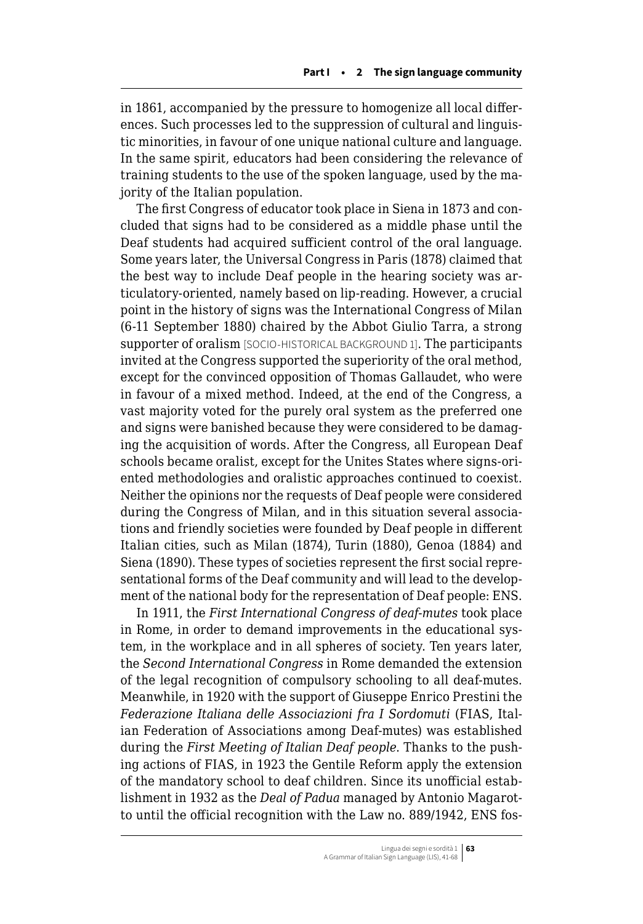in 1861, accompanied by the pressure to homogenize all local differences. Such processes led to the suppression of cultural and linguistic minorities, in favour of one unique national culture and language. In the same spirit, educators had been considering the relevance of training students to the use of the spoken language, used by the majority of the Italian population.

The first Congress of educator took place in Siena in 1873 and concluded that signs had to be considered as a middle phase until the Deaf students had acquired sufficient control of the oral language. Some years later, the Universal Congress in Paris (1878) claimed that the best way to include Deaf people in the hearing society was articulatory-oriented, namely based on lip-reading. However, a crucial point in the history of signs was the International Congress of Milan (6-11 September 1880) chaired by the Abbot Giulio Tarra, a strong supporter of oralism [SOCIO-HISTORICAL BACKGROUND 1]. The participants invited at the Congress supported the superiority of the oral method, except for the convinced opposition of Thomas Gallaudet, who were in favour of a mixed method. Indeed, at the end of the Congress, a vast majority voted for the purely oral system as the preferred one and signs were banished because they were considered to be damaging the acquisition of words. After the Congress, all European Deaf schools became oralist, except for the Unites States where signs-oriented methodologies and oralistic approaches continued to coexist. Neither the opinions nor the requests of Deaf people were considered during the Congress of Milan, and in this situation several associations and friendly societies were founded by Deaf people in different Italian cities, such as Milan (1874), Turin (1880), Genoa (1884) and Siena (1890). These types of societies represent the first social representational forms of the Deaf community and will lead to the development of the national body for the representation of Deaf people: ENS.

In 1911, the *First International Congress of deaf-mutes* took place in Rome, in order to demand improvements in the educational system, in the workplace and in all spheres of society. Ten years later, the *Second International Congress* in Rome demanded the extension of the legal recognition of compulsory schooling to all deaf-mutes. Meanwhile, in 1920 with the support of Giuseppe Enrico Prestini the *Federazione Italiana delle Associazioni fra I Sordomuti* (FIAS, Italian Federation of Associations among Deaf-mutes) was established during the *First Meeting of Italian Deaf people*. Thanks to the pushing actions of FIAS, in 1923 the Gentile Reform apply the extension of the mandatory school to deaf children. Since its unofficial establishment in 1932 as the *Deal of Padua* managed by Antonio Magarotto until the official recognition with the Law no. 889/1942, ENS fos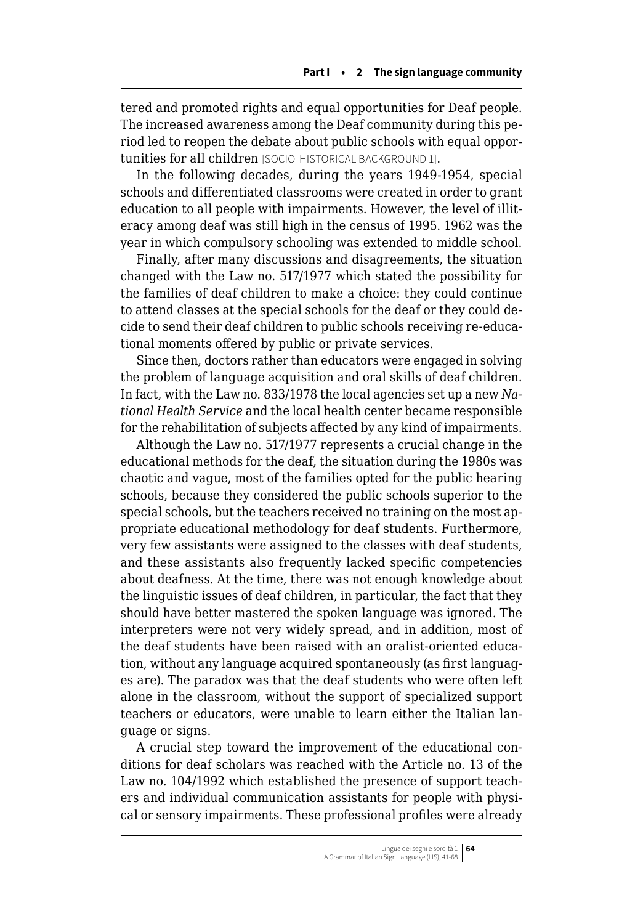tered and promoted rights and equal opportunities for Deaf people. The increased awareness among the Deaf community during this period led to reopen the debate about public schools with equal opportunities for all children [SOCIO-HISTORICAL BACKGROUND 1].

In the following decades, during the years 1949-1954, special schools and differentiated classrooms were created in order to grant education to all people with impairments. However, the level of illiteracy among deaf was still high in the census of 1995. 1962 was the year in which compulsory schooling was extended to middle school.

Finally, after many discussions and disagreements, the situation changed with the Law no. 517/1977 which stated the possibility for the families of deaf children to make a choice: they could continue to attend classes at the special schools for the deaf or they could decide to send their deaf children to public schools receiving re-educational moments offered by public or private services.

Since then, doctors rather than educators were engaged in solving the problem of language acquisition and oral skills of deaf children. In fact, with the Law no. 833/1978 the local agencies set up a new *National Health Service* and the local health center became responsible for the rehabilitation of subjects affected by any kind of impairments.

Although the Law no. 517/1977 represents a crucial change in the educational methods for the deaf, the situation during the 1980s was chaotic and vague, most of the families opted for the public hearing schools, because they considered the public schools superior to the special schools, but the teachers received no training on the most appropriate educational methodology for deaf students. Furthermore, very few assistants were assigned to the classes with deaf students, and these assistants also frequently lacked specific competencies about deafness. At the time, there was not enough knowledge about the linguistic issues of deaf children, in particular, the fact that they should have better mastered the spoken language was ignored. The interpreters were not very widely spread, and in addition, most of the deaf students have been raised with an oralist-oriented education, without any language acquired spontaneously (as first languages are). The paradox was that the deaf students who were often left alone in the classroom, without the support of specialized support teachers or educators, were unable to learn either the Italian language or signs.

A crucial step toward the improvement of the educational conditions for deaf scholars was reached with the Article no. 13 of the Law no. 104/1992 which established the presence of support teachers and individual communication assistants for people with physical or sensory impairments. These professional profiles were already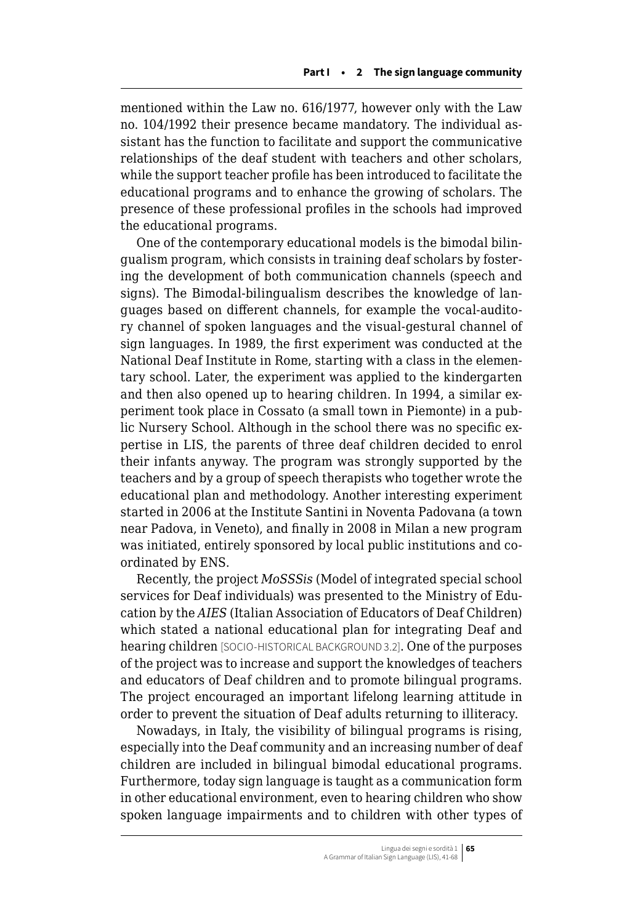mentioned within the Law no. 616/1977, however only with the Law no. 104/1992 their presence became mandatory. The individual assistant has the function to facilitate and support the communicative relationships of the deaf student with teachers and other scholars, while the support teacher profile has been introduced to facilitate the educational programs and to enhance the growing of scholars. The presence of these professional profiles in the schools had improved the educational programs.

One of the contemporary educational models is the bimodal bilingualism program, which consists in training deaf scholars by fostering the development of both communication channels (speech and signs). The Bimodal-bilingualism describes the knowledge of languages based on different channels, for example the vocal-auditory channel of spoken languages and the visual-gestural channel of sign languages. In 1989, the first experiment was conducted at the National Deaf Institute in Rome, starting with a class in the elementary school. Later, the experiment was applied to the kindergarten and then also opened up to hearing children. In 1994, a similar experiment took place in Cossato (a small town in Piemonte) in a public Nursery School. Although in the school there was no specific expertise in LIS, the parents of three deaf children decided to enrol their infants anyway. The program was strongly supported by the teachers and by a group of speech therapists who together wrote the educational plan and methodology. Another interesting experiment started in 2006 at the Institute Santini in Noventa Padovana (a town near Padova, in Veneto), and finally in 2008 in Milan a new program was initiated, entirely sponsored by local public institutions and coordinated by ENS.

Recently, the project *MoSSSis* (Model of integrated special school services for Deaf individuals) was presented to the Ministry of Education by the *AIES* (Italian Association of Educators of Deaf Children) which stated a national educational plan for integrating Deaf and hearing children [SOCIO-HISTORICAL BACKGROUND 3.2]. One of the purposes of the project was to increase and support the knowledges of teachers and educators of Deaf children and to promote bilingual programs. The project encouraged an important lifelong learning attitude in order to prevent the situation of Deaf adults returning to illiteracy.

Nowadays, in Italy, the visibility of bilingual programs is rising, especially into the Deaf community and an increasing number of deaf children are included in bilingual bimodal educational programs. Furthermore, today sign language is taught as a communication form in other educational environment, even to hearing children who show spoken language impairments and to children with other types of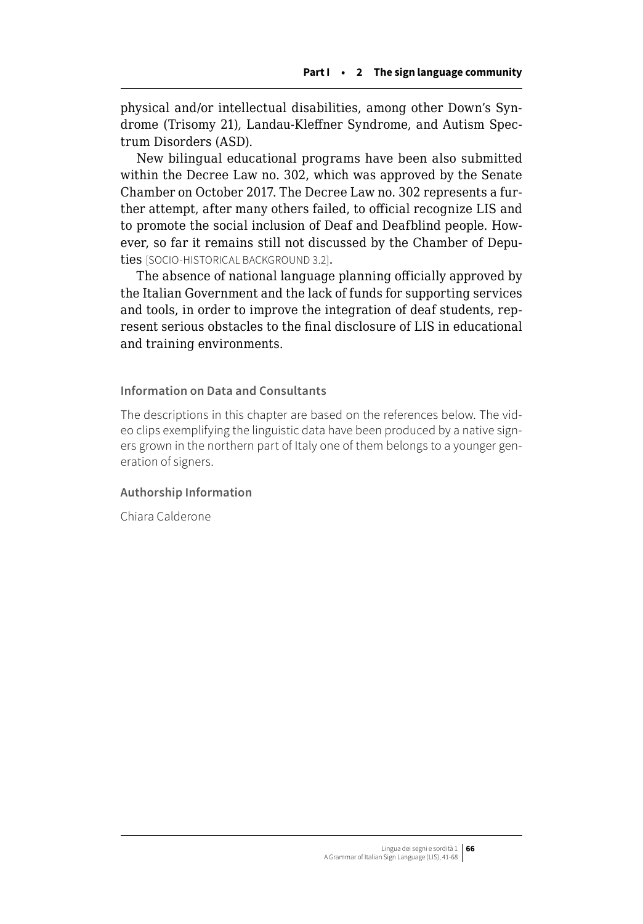physical and/or intellectual disabilities, among other Down's Syndrome (Trisomy 21), Landau-Kleffner Syndrome, and Autism Spectrum Disorders (ASD).

New bilingual educational programs have been also submitted within the Decree Law no. 302, which was approved by the Senate Chamber on October 2017. The Decree Law no. 302 represents a further attempt, after many others failed, to official recognize LIS and to promote the social inclusion of Deaf and Deafblind people. However, so far it remains still not discussed by the Chamber of Deputies [SOCIO-HISTORICAL BACKGROUND 3.2].

The absence of national language planning officially approved by the Italian Government and the lack of funds for supporting services and tools, in order to improve the integration of deaf students, represent serious obstacles to the final disclosure of LIS in educational and training environments.

### **Information on Data and Consultants**

The descriptions in this chapter are based on the references below. The video clips exemplifying the linguistic data have been produced by a native signers grown in the northern part of Italy one of them belongs to a younger generation of signers.

### **Authorship Information**

Chiara Calderone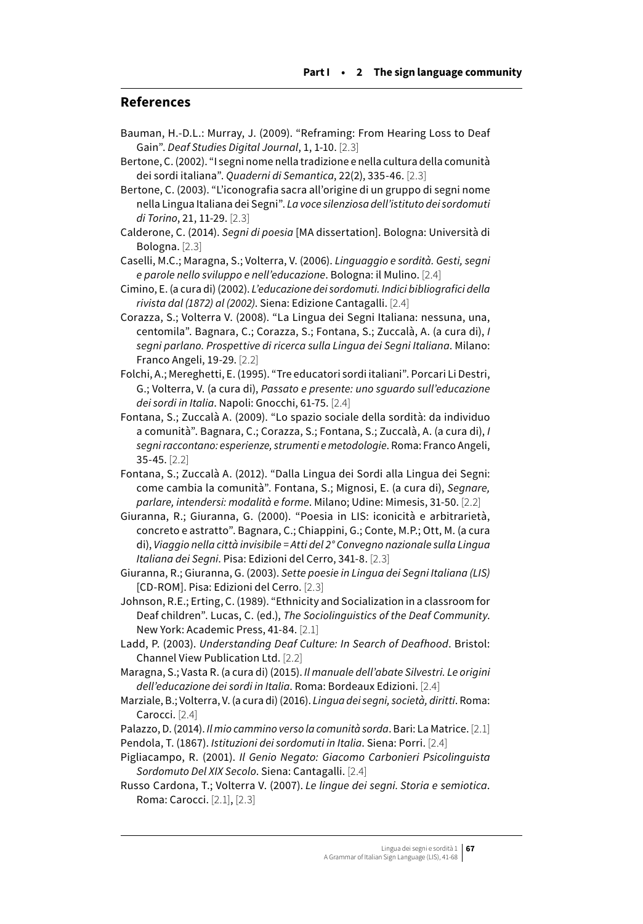### **References**

- Bauman, H.-D.L.: Murray, J. (2009). "Reframing: From Hearing Loss to Deaf Gain". *Deaf Studies Digital Journal*, 1, 1-10. [2.3]
- Bertone, C. (2002). "I segni nome nella tradizione e nella cultura della comunità dei sordi italiana". *Quaderni di Semantica*, 22(2), 335-46. [2.3]
- Bertone, C. (2003). "L'iconografia sacra all'origine di un gruppo di segni nome nella Lingua Italiana dei Segni". *La voce silenziosa dell'istituto dei sordomuti di Torino*, 21, 11-29. [2.3]
- Calderone, C. (2014). *Segni di poesia* [MA dissertation]. Bologna: Università di Bologna. [2.3]
- Caselli, M.C.; Maragna, S.; Volterra, V. (2006). *Linguaggio e sordità. Gesti, segni e parole nello sviluppo e nell'educazione*. Bologna: il Mulino. [2.4]
- Cimino, E. (a cura di) (2002). *L'educazione dei sordomuti. Indici bibliografici della rivista dal (1872) al (2002)*. Siena: Edizione Cantagalli. [2.4]
- Corazza, S.; Volterra V. (2008). "La Lingua dei Segni Italiana: nessuna, una, centomila". Bagnara, C.; Corazza, S.; Fontana, S.; Zuccalà, A. (a cura di), *I segni parlano. Prospettive di ricerca sulla Lingua dei Segni Italiana*. Milano: Franco Angeli, 19-29. [2.2]
- Folchi, A.; Mereghetti, E. (1995). "Tre educatori sordi italiani". Porcari Li Destri, G.; Volterra, V. (a cura di), *Passato e presente: uno sguardo sull'educazione dei sordi in Italia*. Napoli: Gnocchi, 61-75. [2.4]
- Fontana, S.; Zuccalà A. (2009). "Lo spazio sociale della sordità: da individuo a comunità". Bagnara, C.; Corazza, S.; Fontana, S.; Zuccalà, A. (a cura di), *I segni raccontano: esperienze, strumenti e metodologie*. Roma: Franco Angeli, 35-45. [2.2]
- Fontana, S.; Zuccalà A. (2012). "Dalla Lingua dei Sordi alla Lingua dei Segni: come cambia la comunità". Fontana, S.; Mignosi, E. (a cura di), *Segnare, parlare, intendersi: modalità e forme*. Milano; Udine: Mimesis, 31-50. [2.2]
- Giuranna, R.; Giuranna, G. (2000). "Poesia in LIS: iconicità e arbitrarietà, concreto e astratto". Bagnara, C.; Chiappini, G.; Conte, M.P.; Ott, M. (a cura di), *Viaggio nella città invisibile = Atti del 2° Convegno nazionale sulla Lingua Italiana dei Segni*. Pisa: Edizioni del Cerro, 341-8. [2.3]
- Giuranna, R.; Giuranna, G. (2003). *Sette poesie in Lingua dei Segni Italiana (LIS)* [CD-ROM]. Pisa: Edizioni del Cerro. [2.3]
- Johnson, R.E.; Erting, C. (1989). "Ethnicity and Socialization in a classroom for Deaf children". Lucas, C. (ed.), *The Sociolinguistics of the Deaf Community*. New York: Academic Press, 41-84. [2.1]
- Ladd, P. (2003). *Understanding Deaf Culture: In Search of Deafhood*. Bristol: Channel View Publication Ltd. [2.2]
- Maragna, S.; Vasta R. (a cura di) (2015). *Il manuale dell'abate Silvestri. Le origini dell'educazione dei sordi in Italia*. Roma: Bordeaux Edizioni. [2.4]
- Marziale, B.; Volterra, V. (a cura di) (2016). *Lingua dei segni, società, diritti*. Roma: Carocci. [2.4]
- Palazzo, D. (2014). *Il mio cammino verso la comunità sorda*. Bari: La Matrice. [2.1]
- Pendola, T. (1867). *Istituzioni dei sordomuti in Italia*. Siena: Porri. [2.4]

Pigliacampo, R. (2001). *Il Genio Negato: Giacomo Carbonieri Psicolinguista Sordomuto Del XIX Secolo*. Siena: Cantagalli. [2.4]

Russo Cardona, T.; Volterra V. (2007). *Le lingue dei segni. Storia e semiotica*. Roma: Carocci. [2.1], [2.3]